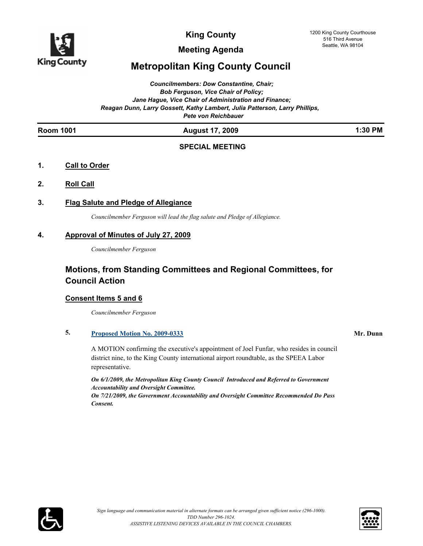

**Meeting Agenda**

## **Metropolitan King County Council**

*Councilmembers: Dow Constantine, Chair; Bob Ferguson, Vice Chair of Policy; Jane Hague, Vice Chair of Administration and Finance; Reagan Dunn, Larry Gossett, Kathy Lambert, Julia Patterson, Larry Phillips, Pete von Reichbauer*

#### **Room 1001 August 17, 2009 1:30 PM**

### **SPECIAL MEETING**

#### **1. Call to Order**

**2. Roll Call**

### **3. Flag Salute and Pledge of Allegiance**

*Councilmember Ferguson will lead the flag salute and Pledge of Allegiance.*

#### **4. Approval of Minutes of July 27, 2009**

*Councilmember Ferguson*

## **Motions, from Standing Committees and Regional Committees, for Council Action**

### **Consent Items 5 and 6**

*Councilmember Ferguson*

### **5. [Proposed Motion No. 2009-0333](http://kingcounty.legistar.com/gateway.aspx?M=L&ID=9783) Mr. Dunn**

A MOTION confirming the executive's appointment of Joel Funfar, who resides in council district nine, to the King County international airport roundtable, as the SPEEA Labor representative.

*On 6/1/2009, the Metropolitan King County Council Introduced and Referred to Government Accountability and Oversight Committee. On 7/21/2009, the Government Accountability and Oversight Committee Recommended Do Pass Consent.*



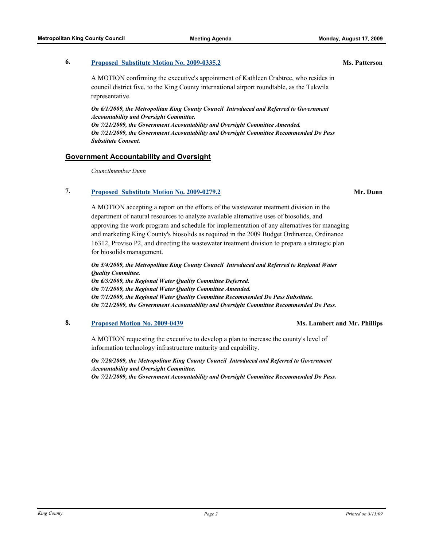#### **6. [Proposed Substitute Motion No. 2009-0335.2](http://kingcounty.legistar.com/gateway.aspx?M=L&ID=9785) Ms. Patterson**

A MOTION confirming the executive's appointment of Kathleen Crabtree, who resides in council district five, to the King County international airport roundtable, as the Tukwila representative.

*On 6/1/2009, the Metropolitan King County Council Introduced and Referred to Government Accountability and Oversight Committee. On 7/21/2009, the Government Accountability and Oversight Committee Amended. On 7/21/2009, the Government Accountability and Oversight Committee Recommended Do Pass Substitute Consent.*

#### **Government Accountability and Oversight**

*Councilmember Dunn*

### **7. [Proposed Substitute Motion No. 2009-0279.2](http://kingcounty.legistar.com/gateway.aspx?M=L&ID=9675) Mr. Dunn**

A MOTION accepting a report on the efforts of the wastewater treatment division in the department of natural resources to analyze available alternative uses of biosolids, and approving the work program and schedule for implementation of any alternatives for managing and marketing King County's biosolids as required in the 2009 Budget Ordinance, Ordinance 16312, Proviso P2, and directing the wastewater treatment division to prepare a strategic plan for biosolids management.

*On 5/4/2009, the Metropolitan King County Council Introduced and Referred to Regional Water Quality Committee. On 6/3/2009, the Regional Water Quality Committee Deferred. On 7/1/2009, the Regional Water Quality Committee Amended. On 7/1/2009, the Regional Water Quality Committee Recommended Do Pass Substitute. On 7/21/2009, the Government Accountability and Oversight Committee Recommended Do Pass.*

#### **8. [Proposed Motion No. 2009-0439](http://kingcounty.legistar.com/gateway.aspx?M=L&ID=9962) Ms. Lambert and Mr. Phillips**

A MOTION requesting the executive to develop a plan to increase the county's level of information technology infrastructure maturity and capability.

*On 7/20/2009, the Metropolitan King County Council Introduced and Referred to Government Accountability and Oversight Committee. On 7/21/2009, the Government Accountability and Oversight Committee Recommended Do Pass.*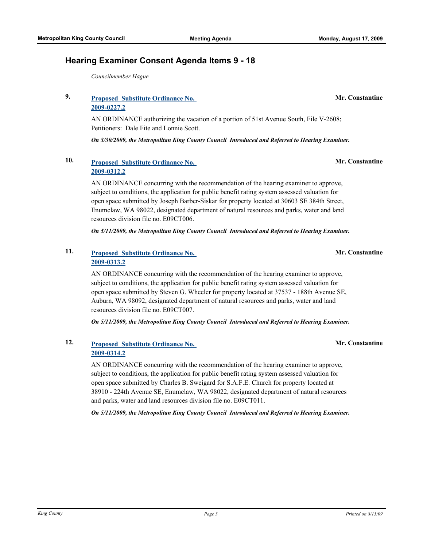### **9. [Proposed Substitute Ordinance No.](http://kingcounty.legistar.com/gateway.aspx?M=L&ID=9580)  2009-0227.2**

*Councilmember Hague*

**Hearing Examiner Consent Agenda Items 9 - 18**

AN ORDINANCE authorizing the vacation of a portion of 51st Avenue South, File V-2608; Petitioners: Dale Fite and Lonnie Scott.

*On 3/30/2009, the Metropolitan King County Council Introduced and Referred to Hearing Examiner.*

## **10. [Proposed Substitute Ordinance No.](http://kingcounty.legistar.com/gateway.aspx?M=L&ID=9731)  2009-0312.2**

AN ORDINANCE concurring with the recommendation of the hearing examiner to approve, subject to conditions, the application for public benefit rating system assessed valuation for open space submitted by Joseph Barber-Siskar for property located at 30603 SE 384th Street, Enumclaw, WA 98022, designated department of natural resources and parks, water and land resources division file no. E09CT006.

*On 5/11/2009, the Metropolitan King County Council Introduced and Referred to Hearing Examiner.*

## **11. [Proposed Substitute Ordinance No.](http://kingcounty.legistar.com/gateway.aspx?M=L&ID=9745)  2009-0313.2**

AN ORDINANCE concurring with the recommendation of the hearing examiner to approve, subject to conditions, the application for public benefit rating system assessed valuation for open space submitted by Steven G. Wheeler for property located at 37537 - 188th Avenue SE, Auburn, WA 98092, designated department of natural resources and parks, water and land resources division file no. E09CT007.

*On 5/11/2009, the Metropolitan King County Council Introduced and Referred to Hearing Examiner.*

## **12. [Proposed Substitute Ordinance No.](http://kingcounty.legistar.com/gateway.aspx?M=L&ID=9746)  2009-0314.2**

AN ORDINANCE concurring with the recommendation of the hearing examiner to approve, subject to conditions, the application for public benefit rating system assessed valuation for open space submitted by Charles B. Sweigard for S.A.F.E. Church for property located at 38910 - 224th Avenue SE, Enumclaw, WA 98022, designated department of natural resources and parks, water and land resources division file no. E09CT011.

*On 5/11/2009, the Metropolitan King County Council Introduced and Referred to Hearing Examiner.*

**Mr. Constantine**

**Mr. Constantine**

**Mr. Constantine**

**Mr. Constantine**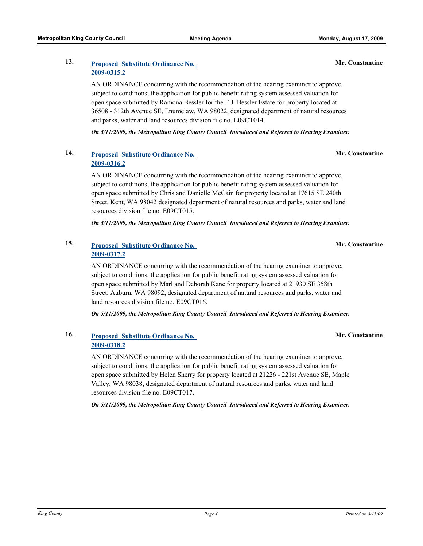## **13. [Proposed Substitute Ordinance No.](http://kingcounty.legistar.com/gateway.aspx?M=L&ID=9747)  2009-0315.2**

AN ORDINANCE concurring with the recommendation of the hearing examiner to approve, subject to conditions, the application for public benefit rating system assessed valuation for open space submitted by Ramona Bessler for the E.J. Bessler Estate for property located at 36508 - 312th Avenue SE, Enumclaw, WA 98022, designated department of natural resources and parks, water and land resources division file no. E09CT014.

*On 5/11/2009, the Metropolitan King County Council Introduced and Referred to Hearing Examiner.*

## **14. [Proposed Substitute Ordinance No.](http://kingcounty.legistar.com/gateway.aspx?M=L&ID=9748)  2009-0316.2**

AN ORDINANCE concurring with the recommendation of the hearing examiner to approve, subject to conditions, the application for public benefit rating system assessed valuation for open space submitted by Chris and Danielle McCain for property located at 17615 SE 240th Street, Kent, WA 98042 designated department of natural resources and parks, water and land resources division file no. E09CT015.

*On 5/11/2009, the Metropolitan King County Council Introduced and Referred to Hearing Examiner.*

## **15. [Proposed Substitute Ordinance No.](http://kingcounty.legistar.com/gateway.aspx?M=L&ID=9749)  2009-0317.2**

AN ORDINANCE concurring with the recommendation of the hearing examiner to approve, subject to conditions, the application for public benefit rating system assessed valuation for open space submitted by Marl and Deborah Kane for property located at 21930 SE 358th Street, Auburn, WA 98092, designated department of natural resources and parks, water and land resources division file no. E09CT016.

*On 5/11/2009, the Metropolitan King County Council Introduced and Referred to Hearing Examiner.*

### **16. [Proposed Substitute Ordinance No.](http://kingcounty.legistar.com/gateway.aspx?M=L&ID=9750)  2009-0318.2**

AN ORDINANCE concurring with the recommendation of the hearing examiner to approve, subject to conditions, the application for public benefit rating system assessed valuation for open space submitted by Helen Sherry for property located at 21226 - 221st Avenue SE, Maple Valley, WA 98038, designated department of natural resources and parks, water and land resources division file no. E09CT017.

*On 5/11/2009, the Metropolitan King County Council Introduced and Referred to Hearing Examiner.*

#### **Mr. Constantine**

**Mr. Constantine**

**Mr. Constantine**

**Mr. Constantine**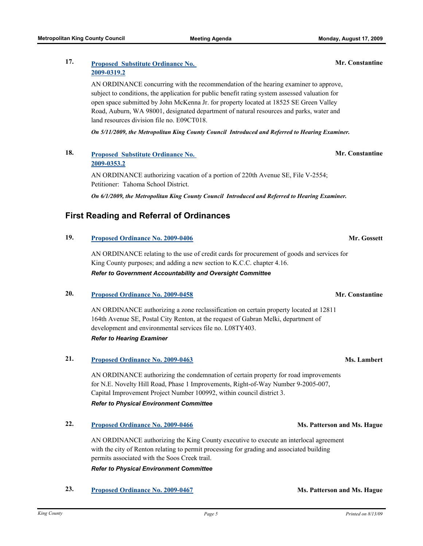## **2009-0319.2**

AN ORDINANCE concurring with the recommendation of the hearing examiner to approve, subject to conditions, the application for public benefit rating system assessed valuation for open space submitted by John McKenna Jr. for property located at 18525 SE Green Valley Road, Auburn, WA 98001, designated department of natural resources and parks, water and land resources division file no. E09CT018.

*On 5/11/2009, the Metropolitan King County Council Introduced and Referred to Hearing Examiner.*

### **18. [Proposed Substitute Ordinance No.](http://kingcounty.legistar.com/gateway.aspx?M=L&ID=9808)  2009-0353.2**

AN ORDINANCE authorizing vacation of a portion of 220th Avenue SE, File V-2554; Petitioner: Tahoma School District.

*On 6/1/2009, the Metropolitan King County Council Introduced and Referred to Hearing Examiner.*

## **First Reading and Referral of Ordinances**

### **19. [Proposed Ordinance No. 2009-0406](http://kingcounty.legistar.com/gateway.aspx?M=L&ID=9913) Mr. Gossett**

AN ORDINANCE relating to the use of credit cards for procurement of goods and services for King County purposes; and adding a new section to K.C.C. chapter 4.16. *Refer to Government Accountability and Oversight Committee*

## **20. [Proposed Ordinance No. 2009-0458](http://kingcounty.legistar.com/gateway.aspx?M=L&ID=10003) Mr. Constantine**

AN ORDINANCE authorizing a zone reclassification on certain property located at 12811 164th Avenue SE, Postal City Renton, at the request of Gabran Melki, department of development and environmental services file no. L08TY403. *Refer to Hearing Examiner*

#### **21. [Proposed Ordinance No. 2009-0463](http://kingcounty.legistar.com/gateway.aspx?M=L&ID=10013) Ms. Lambert**

AN ORDINANCE authorizing the condemnation of certain property for road improvements for N.E. Novelty Hill Road, Phase 1 Improvements, Right-of-Way Number 9-2005-007, Capital Improvement Project Number 100992, within council district 3. *Refer to Physical Environment Committee*

### **22. [Proposed Ordinance No. 2009-0466](http://kingcounty.legistar.com/gateway.aspx?M=L&ID=10016) Ms. Patterson and Ms. Hague**

AN ORDINANCE authorizing the King County executive to execute an interlocal agreement with the city of Renton relating to permit processing for grading and associated building permits associated with the Soos Creek trail. *Refer to Physical Environment Committee*

**23. [Proposed Ordinance No. 2009-0467](http://kingcounty.legistar.com/gateway.aspx?M=L&ID=10017) Ms. Patterson and Ms. Hague**

**Mr. Constantine**

## **Mr. Constantine**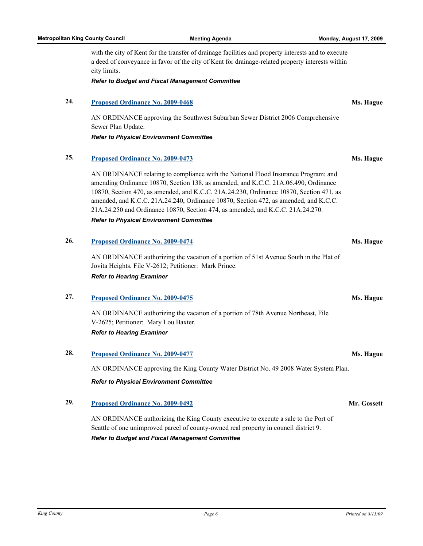a deed of conveyance in favor of the city of Kent for drainage-related property interests within city limits.

*Refer to Budget and Fiscal Management Committee*

#### **24. [Proposed Ordinance No. 2009-0468](http://kingcounty.legistar.com/gateway.aspx?M=L&ID=10018) Ms. Hague**

AN ORDINANCE approving the Southwest Suburban Sewer District 2006 Comprehensive Sewer Plan Update.

*Refer to Physical Environment Committee*

#### **25. [Proposed Ordinance No. 2009-0473](http://kingcounty.legistar.com/gateway.aspx?M=L&ID=10023) Ms. Hague**

AN ORDINANCE relating to compliance with the National Flood Insurance Program; and amending Ordinance 10870, Section 138, as amended, and K.C.C. 21A.06.490, Ordinance 10870, Section 470, as amended, and K.C.C. 21A.24.230, Ordinance 10870, Section 471, as amended, and K.C.C. 21A.24.240, Ordinance 10870, Section 472, as amended, and K.C.C. 21A.24.250 and Ordinance 10870, Section 474, as amended, and K.C.C. 21A.24.270.

*Refer to Physical Environment Committee*

#### **26. [Proposed Ordinance No. 2009-0474](http://kingcounty.legistar.com/gateway.aspx?M=L&ID=10024) Ms. Hague**

AN ORDINANCE authorizing the vacation of a portion of 51st Avenue South in the Plat of Jovita Heights, File V-2612; Petitioner: Mark Prince. *Refer to Hearing Examiner*

#### **27. [Proposed Ordinance No. 2009-0475](http://kingcounty.legistar.com/gateway.aspx?M=L&ID=10025) Ms. Hague**

AN ORDINANCE authorizing the vacation of a portion of 78th Avenue Northeast, File V-2625; Petitioner: Mary Lou Baxter. *Refer to Hearing Examiner*

#### **28. [Proposed Ordinance No. 2009-0477](http://kingcounty.legistar.com/gateway.aspx?M=L&ID=10027) Ms. Hague**

AN ORDINANCE approving the King County Water District No. 49 2008 Water System Plan.

*Refer to Physical Environment Committee*

#### **29. [Proposed Ordinance No. 2009-0492](http://kingcounty.legistar.com/gateway.aspx?M=L&ID=10042) Mr. Gossett**

AN ORDINANCE authorizing the King County executive to execute a sale to the Port of Seattle of one unimproved parcel of county-owned real property in council district 9. *Refer to Budget and Fiscal Management Committee*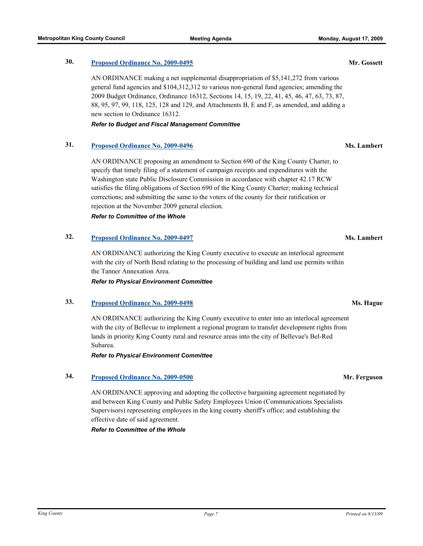### **30. [Proposed Ordinance No. 2009-0495](http://kingcounty.legistar.com/gateway.aspx?M=L&ID=10045) Mr. Gossett**

AN ORDINANCE making a net supplemental disappropriation of \$5,141,272 from various general fund agencies and \$104,312,312 to various non-general fund agencies; amending the 2009 Budget Ordinance, Ordinance 16312, Sections 14, 15, 19, 22, 41, 45, 46, 47, 63, 73, 87, 88, 95, 97, 99, 118, 125, 128 and 129, and Attachments B, E and F, as amended, and adding a new section to Ordinance 16312.

#### *Refer to Budget and Fiscal Management Committee*

#### **31. [Proposed Ordinance No. 2009-0496](http://kingcounty.legistar.com/gateway.aspx?M=L&ID=10046) Ms. Lambert**

AN ORDINANCE proposing an amendment to Section 690 of the King County Charter, to specify that timely filing of a statement of campaign receipts and expenditures with the Washington state Public Disclosure Commission in accordance with chapter 42.17 RCW satisfies the filing obligations of Section 690 of the King County Charter; making technical corrections; and submitting the same to the voters of the county for their ratification or rejection at the November 2009 general election.

#### *Refer to Committee of the Whole*

#### **32. [Proposed Ordinance No. 2009-0497](http://kingcounty.legistar.com/gateway.aspx?M=L&ID=10047) Ms. Lambert**

AN ORDINANCE authorizing the King County executive to execute an interlocal agreement with the city of North Bend relating to the processing of building and land use permits within the Tanner Annexation Area.

*Refer to Physical Environment Committee*

#### **33. [Proposed Ordinance No. 2009-0498](http://kingcounty.legistar.com/gateway.aspx?M=L&ID=10048) Ms. Hague**

AN ORDINANCE authorizing the King County executive to enter into an interlocal agreement with the city of Bellevue to implement a regional program to transfer development rights from lands in priority King County rural and resource areas into the city of Bellevue's Bel-Red Subarea.

#### *Refer to Physical Environment Committee*

#### **34. [Proposed Ordinance No. 2009-0500](http://kingcounty.legistar.com/gateway.aspx?M=L&ID=10050) Mr. Ferguson**

AN ORDINANCE approving and adopting the collective bargaining agreement negotiated by and between King County and Public Safety Employees Union (Communications Specialists Supervisors) representing employees in the king county sheriff's office; and establishing the effective date of said agreement.

#### *Refer to Committee of the Whole*

*Find the County* **Page 7** *Printed on 8/13/09 Printed on 8/13/09 Printed on 8/13/09*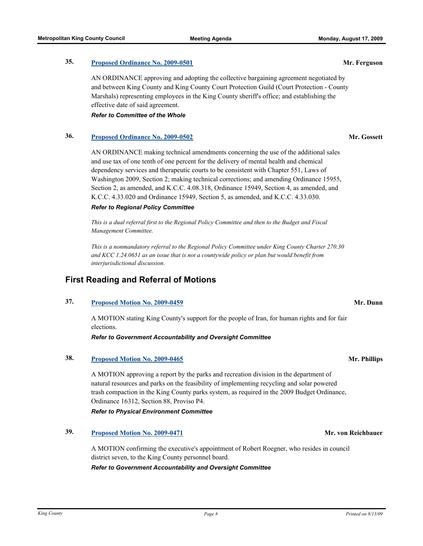AN ORDINANCE approving and adopting the collective bargaining agreement negotiated by and between King County and King County Court Protection Guild (Court Protection - County Marshals) representing employees in the King County sheriff's office; and establishing the effective date of said agreement.

*Refer to Committee of the Whole*

### **36. [Proposed Ordinance No. 2009-0502](http://kingcounty.legistar.com/gateway.aspx?M=L&ID=10052) Mr. Gossett**

AN ORDINANCE making technical amendments concerning the use of the additional sales and use tax of one tenth of one percent for the delivery of mental health and chemical dependency services and therapeutic courts to be consistent with Chapter 551, Laws of Washington 2009, Section 2; making technical corrections; and amending Ordinance 15955, Section 2, as amended, and K.C.C. 4.08.318, Ordinance 15949, Section 4, as amended, and K.C.C. 4.33.020 and Ordinance 15949, Section 5, as amended, and K.C.C. 4.33.030.

#### *Refer to Regional Policy Committee*

*This is a dual referral first to the Regional Policy Committee and then to the Budget and Fiscal Management Committee.*

*This is a nonmandatory referral to the Regional Policy Committee under King County Charter 270.30 and KCC 1.24.0651 as an issue that is not a countywide policy or plan but would benefit from interjurisdictional discussion.*

## **First Reading and Referral of Motions**

## **37. [Proposed Motion No. 2009-0459](http://kingcounty.legistar.com/gateway.aspx?M=L&ID=10005) Mr. Dunn**

A MOTION stating King County's support for the people of Iran, for human rights and for fair elections.

*Refer to Government Accountability and Oversight Committee*

## **38. [Proposed Motion No. 2009-0465](http://kingcounty.legistar.com/gateway.aspx?M=L&ID=10015) Mr. Phillips**

A MOTION approving a report by the parks and recreation division in the department of natural resources and parks on the feasibility of implementing recycling and solar powered trash compaction in the King County parks system, as required in the 2009 Budget Ordinance, Ordinance 16312, Section 88, Proviso P4.

*Refer to Physical Environment Committee*

## **39. [Proposed Motion No. 2009-0471](http://kingcounty.legistar.com/gateway.aspx?M=L&ID=10021) Mr. von Reichbauer**

A MOTION confirming the executive's appointment of Robert Roegner, who resides in council district seven, to the King County personnel board.

*Refer to Government Accountability and Oversight Committee*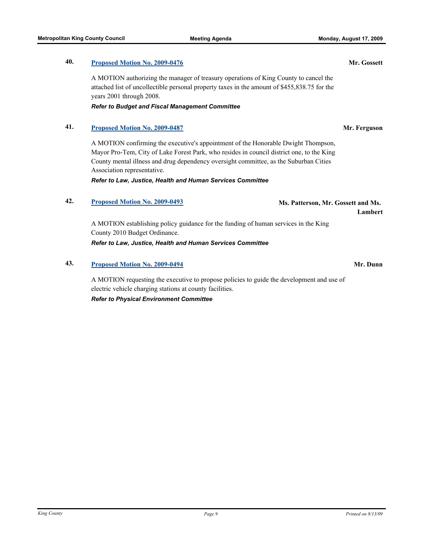## **40. [Proposed Motion No. 2009-0476](http://kingcounty.legistar.com/gateway.aspx?M=L&ID=10026) Mr. Gossett**

A MOTION authorizing the manager of treasury operations of King County to cancel the attached list of uncollectible personal property taxes in the amount of \$455,838.75 for the years 2001 through 2008.

#### *Refer to Budget and Fiscal Management Committee*

#### **41. [Proposed Motion No. 2009-0487](http://kingcounty.legistar.com/gateway.aspx?M=L&ID=10037) Mr. Ferguson**

A MOTION confirming the executive's appointment of the Honorable Dwight Thompson, Mayor Pro-Tem, City of Lake Forest Park, who resides in council district one, to the King County mental illness and drug dependency oversight committee, as the Suburban Cities Association representative.

*Refer to Law, Justice, Health and Human Services Committee*

## **42. [Proposed Motion No. 2009-0493](http://kingcounty.legistar.com/gateway.aspx?M=L&ID=10043) Ms. Patterson, Mr. Gossett and Ms.**

A MOTION establishing policy guidance for the funding of human services in the King County 2010 Budget Ordinance.

*Refer to Law, Justice, Health and Human Services Committee*

#### **43. [Proposed Motion No. 2009-0494](http://kingcounty.legistar.com/gateway.aspx?M=L&ID=10044) Mr. Dunn**

A MOTION requesting the executive to propose policies to guide the development and use of electric vehicle charging stations at county facilities.

*Refer to Physical Environment Committee*

**Lambert**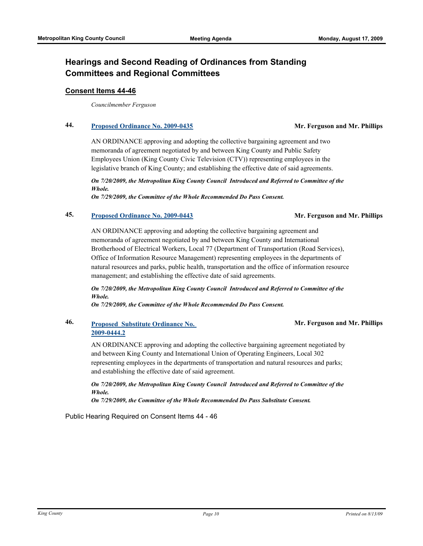## **Hearings and Second Reading of Ordinances from Standing Committees and Regional Committees**

#### **Consent Items 44-46**

*Councilmember Ferguson*

### **44. [Proposed Ordinance No. 2009-0435](http://kingcounty.legistar.com/gateway.aspx?M=L&ID=9958) Mr. Ferguson and Mr. Phillips**

AN ORDINANCE approving and adopting the collective bargaining agreement and two memoranda of agreement negotiated by and between King County and Public Safety Employees Union (King County Civic Television (CTV)) representing employees in the legislative branch of King County; and establishing the effective date of said agreements.

*On 7/20/2009, the Metropolitan King County Council Introduced and Referred to Committee of the Whole.* 

*On 7/29/2009, the Committee of the Whole Recommended Do Pass Consent.*

#### **45. [Proposed Ordinance No. 2009-0443](http://kingcounty.legistar.com/gateway.aspx?M=L&ID=9966) Mr. Ferguson and Mr. Phillips**

AN ORDINANCE approving and adopting the collective bargaining agreement and memoranda of agreement negotiated by and between King County and International Brotherhood of Electrical Workers, Local 77 (Department of Transportation (Road Services), Office of Information Resource Management) representing employees in the departments of natural resources and parks, public health, transportation and the office of information resource management; and establishing the effective date of said agreements.

*On 7/20/2009, the Metropolitan King County Council Introduced and Referred to Committee of the Whole.* 

*On 7/29/2009, the Committee of the Whole Recommended Do Pass Consent.*

### **46. [Proposed Substitute Ordinance No.](http://kingcounty.legistar.com/gateway.aspx?M=L&ID=9967)  2009-0444.2**

**Mr. Ferguson and Mr. Phillips**

AN ORDINANCE approving and adopting the collective bargaining agreement negotiated by and between King County and International Union of Operating Engineers, Local 302 representing employees in the departments of transportation and natural resources and parks; and establishing the effective date of said agreement.

*On 7/20/2009, the Metropolitan King County Council Introduced and Referred to Committee of the Whole.* 

*On 7/29/2009, the Committee of the Whole Recommended Do Pass Substitute Consent.*

Public Hearing Required on Consent Items 44 - 46